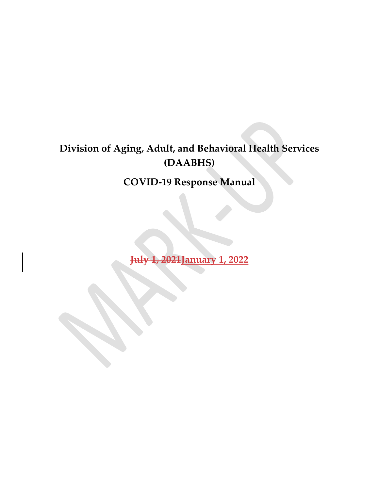### Division of Aging, Adult, and Behavioral Health Services (DAABHS)

COVID-19 Response Manual

July 1, 2021January 1, 2022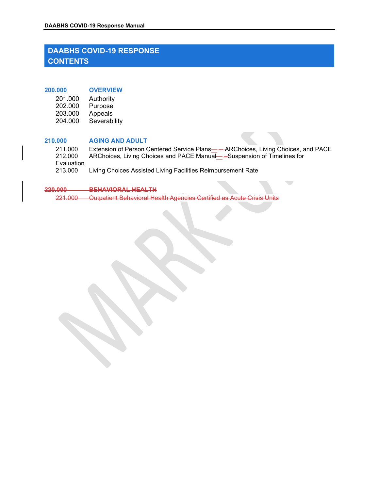### DAABHS COVID-19 Response Manual<br>DAABHS COVID-19 RESPONSE<br>CONTENTS DAABHS COVID-19 RESPONSE **CONTENTS** DAABHS COVID-19 RESPONSE<br>
CONTENTS<br>
200.000 OVERVIEW<br>
201.000 Authority<br>
202.000 Purpose<br>
203.000 Appeals<br>
204.000 Severability READ COVID-19 Response Manual<br>
AABHS COVID-19 RESPONSE<br>
DNTENTS<br>
201.000 Authority<br>
202.000 Purpose<br>
203.000 Appeals<br>
204.000 Severability<br>
202.000 Hopeals BHS COVID-19 RESPONSE<br>
MABHS COVID-19 RESPONSE<br>
DNTENTS<br>
202.000 Authority<br>
202.000 Authority<br>
202.000 Appeals<br>
204.000 Severability<br>
3000 AGING AND ADULT

| 201.000 | Authority    |
|---------|--------------|
| 202.000 | Purpose      |
| 203.000 | Appeals      |
| 204.000 | Severability |

### 210.000 AGING AND ADULT

**EHS COVID-19 Response Manual<br>
AABHS COVID-19 RESPONSE<br>
DNTENTS<br>
201.000 Authority<br>
203.000 Appeals<br>
203.000 Appeals<br>
204.000 Severability<br>
2000 AGING AND ADULT<br>
211.000 Extension of Person Centered Service Plans——ARChoice** 211.000 Extension of Person Centered Service Plans——ARChoices, Living Choices, and PACE<br>212.000 ARChoices, Living Choices and PACE Manual—–Suspension of Timelines for **EXECUTE ARCHOICES ARCHOICES**<br>201.000 AVERVIEW<br>201.000 AUthority<br>202.000 Authority<br>203.000 Appeals<br>203.000 APurpose<br>203.000 AGING AND ADULT<br>211.000 Extension of Person Centered Service Plans——ARChoices, Living Choices, and Evaluation<br>213.000 Living Choices Assisted Living Facilities Reimbursement Rate

### 220.000 BEHAVIORAL HEALTH

221.000 Outpatient Behavioral Health Agencies Certified as Acute Crisis Units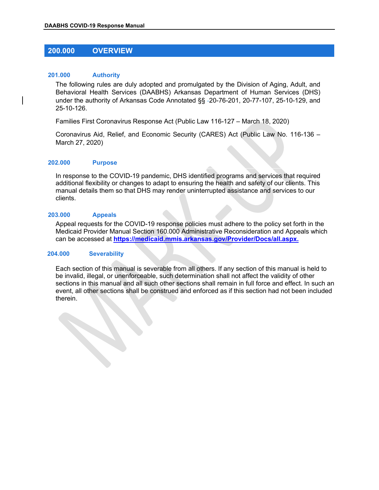# DAABHS COVID-19 Response Manual

### 201.000 Authority

SAABHS COVID-19 Response Manual<br>
200.000 OVERVIEW<br>
201.000 Authority<br>
The following rules are duly adopted and promulgated by the Division of Aging, Adult, an<br>
Rehavioral Use the Comises (DAARUS) Arizones Penetropt of Ulli The following rules are duly adopted and promulgated by the Division of Aging, Adult, and Behavioral Health Services (DAABHS) Arkansas Department of Human Services (DHS) under the authority of Arkansas Code Annotated §§ -20-76-201, 20-77-107, 25-10-129, and 25-10-126. AABHS COVID-19 Response Manual<br>
200.000 OVERVIEW<br>
The following rules are duly adopted and promulgated by the Division of Aging, A<br>
The following rules are duly adopted and promulgated by the Division of Aging, A<br>
Behavior

Families First Coronavirus Response Act (Public Law 116-127 – March 18, 2020)

Coronavirus Aid, Relief, and Economic Security (CARES) Act (Public Law No. 116-136 – March 27, 2020)

In response to the COVID-19 pandemic, DHS identified programs and services that required additional flexibility or changes to adapt to ensuring the health and safety of our clients. This manual details them so that DHS may render uninterrupted assistance and services to our clients.

### 203.000 Appeals

Appeal requests for the COVID-19 response policies must adhere to the policy set forth in the Medicaid Provider Manual Section 160.000 Administrative Reconsideration and Appeals which can be accessed at https://medicaid.mmis.arkansas.gov/Provider/Docs/all.aspx.

### 204.000 Severability

Each section of this manual is severable from all others. If any section of this manual is held to be invalid, illegal, or unenforceable, such determination shall not affect the validity of other sections in this manual and all such other sections shall remain in full force and effect. In such an event, all other sections shall be construed and enforced as if this section had not been included therein.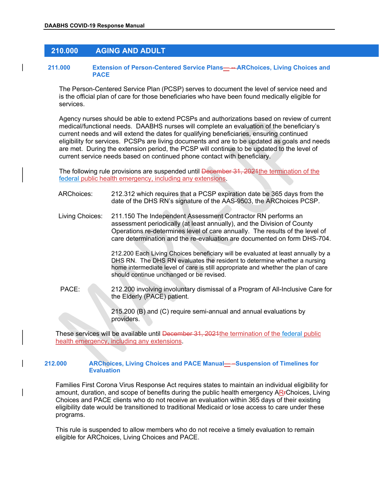# DAABHS COVID-19 Response Manual

### Extension of Person-Centered Service Plans ----ARChoices, Living COMPACE<br>
The Person-Centered Service Plans ----ARChoices, Living COMPACE<br>
The Person-Centered Service Plan (PCSP) serves to document the level of service 211.000 Extension of Person-Centered Service Plans— -- ARChoices, Living Choices and PACE **PACE** *PACE*

The Person-Centered Service Plan (PCSP) serves to document the level of service need and is the official plan of care for those beneficiaries who have been found medically eligible for services.

Agency nurses should be able to extend PCSPs and authorizations based on review of current medical/functional needs. DAABHS nurses will complete an evaluation of the beneficiary's current needs and will extend the dates for qualifying beneficiaries, ensuring continued eligibility for services. PCSPs are living documents and are to be updated as goals and needs are met. During the extension period, the PCSP will continue to be updated to the level of current service needs based on continued phone contact with beneficiary. **COLO CONSIDIMATE CONSIDENT CONSIDENT**<br>
From Centered Service Plans Content the level of service need and<br>
The Person-Centered Service Plan (PCSP) serves to document the level of service need and<br>
is the official plan of c metation and the best state in the best and the best and the best of a Program of the Back for qualifying beneficiants, ensuring continued<br>are met. During the extension period, the PCSP will continue to be updated as goods

The following rule provisions are suspended until December 31, 2021 the termination of the

- date of the DHS RN's signature of the AAS-9503, the ARChoices PCSP.
- Living Choices: 211.150 The Independent Assessment Contractor RN performs an assessment periodically (at least annually), and the Division of County Operations re-determines level of care annually. The results of the level of care determination and the re-evaluation are documented on form DHS-704.

212.200 Each Living Choices beneficiary will be evaluated at least annually by a DHS RN. The DHS RN evaluates the resident to determine whether a nursing home intermediate level of care is still appropriate and whether the plan of care should continue unchanged or be revised.

the Elderly (PACE) patient.

215.200 (B) and (C) require semi-annual and annual evaluations by providers.

These services will be available until December 31, 2021 the termination of the federal public health emergency, including any extensions.

### 212.000 ARChoices, Living Choices and PACE Manual— –Suspension of Timelines for **Evaluation**

Families First Corona Virus Response Act requires states to maintain an individual eligibility for amount, duration, and scope of benefits during the public health emergency ARFChoices, Living Choices and PACE clients who do not receive an evaluation within 365 days of their existing eligibility date would be transitioned to traditional Medicaid or lose access to care under these programs.

This rule is suspended to allow members who do not receive a timely evaluation to remain eligible for ARChoices, Living Choices and PACE.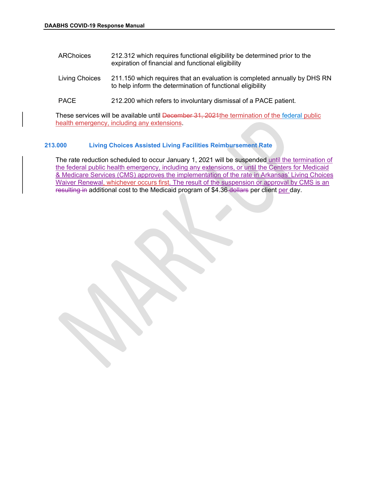| DAABHS COVID-19 Response Manual |                                                                                                                                |  |
|---------------------------------|--------------------------------------------------------------------------------------------------------------------------------|--|
|                                 |                                                                                                                                |  |
| <b>ARChoices</b>                | 212.312 which requires functional eligibility be determined prior to the<br>expiration of financial and functional eligibility |  |

- Living Choices 211.150 which requires that an evaluation is completed annually by DHS RN to help inform the determination of functional eligibility
- PACE 212.200 which refers to involuntary dismissal of a PACE patient.

These services will be available until December 31, 2024 the termination of the federal public health emergency, including any extensions.

### 213.000 Living Choices Assisted Living Facilities Reimbursement Rate

The rate reduction scheduled to occur January 1, 2021 will be suspended until the termination of the federal public health emergency, including any extensions, or until the Centers for Medicaid & Medicare Services (CMS) approves the implementation of the rate in Arkansas' Living Choices Waiver Renewal, whichever occurs first. The result of the suspension or approval by CMS is an resulting in additional cost to the Medicaid program of \$4.36 dollars per client per day.